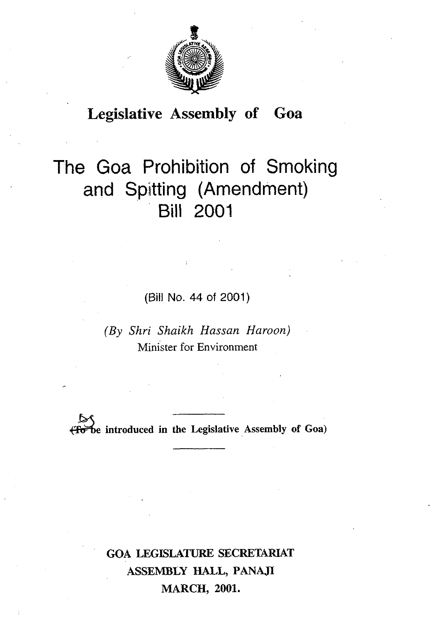

# **Legislative Assembly of Goa**

# The Goa Prohibition of Smoking and Spitting (Amendment) Bill 2001

(Bill No. 44 of 2001)

*(By Shri Shaikh Hassan Haroon)*  Minister for Environment

**&e introduced in the Legislative Assembly of Goa)** 

**GOA LEGISLATURE SECRETARIAT ASSEMBLY HALL, PANAJI MARCH, 2001.**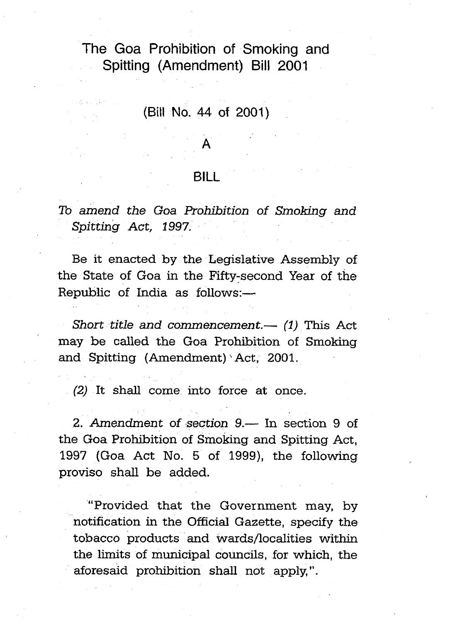# The Goa Prohibition of Smoking and Spitting (Amendment) Bill 2001

#### **(Bill** No. **44** of 2001)

#### BILL

### To amend the Goa Prohibition of Smoking **and**  Spitting Act, **1997,**

Be it enacted by the Legislative Assembly of the State of Goa in the Fifty-second Year of the Republic of India as follows:-

Short title and commencement.—  $(1)$  This Act may be called the Goa Prohibition of Smoking and Spitting (Amendment) Act, 2001.

(2) It shall come into force at once.

2. Amendment of section 9.— In section 9 of the Goa Prohibition of Smoking and Spitting Act, 1997 (Goa Act No. 5 of 1999), the following proviso shall be added.

"Provided that the Government may, by notification in the Official Gazette, specify the tobacco products and wards/localities within the limits of municipal councils, for which, the aforesaid prohibition shall not apply,".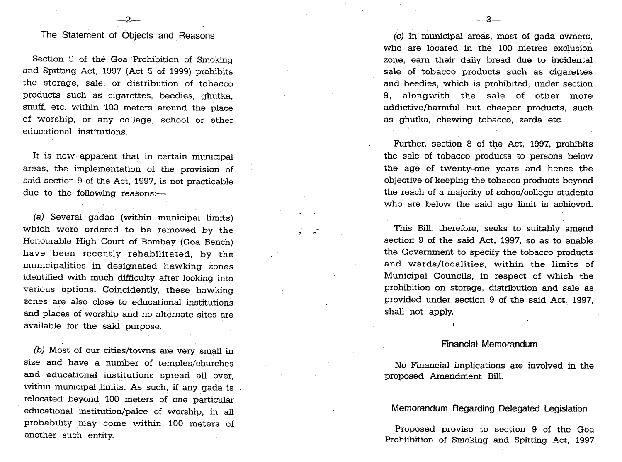## The Statement of Objects and Reasons

 $-i$ 

Section 9 of the Goa Prohibition of Smoking and Spitting Act, 1997 **(Act** 5 of 1999) prohibits the storage, sale, or distribution of tobacco products such as cigarettes, beedies, ghutka, snuff, etc. within 100 meters around the place of worship, or any college, school or other educational institutions.

It is now apparent that in certain municipal areas, the implementation of the provision of said section 9 of the Act, 1997, is not practicable due to the following reasons:-

**(a)** Several gadas (within municipal limits) which were ordered to be removed by the Honourable High Court of Bombay (Goa Bench) have been recently rehabilitated, by the municipalities in designated hawking zones identified with much difficulty after looking into various options. Coincidently, these hawking zones are also close to educational institutions and places of worship and no alternate sites are available for the said purpose.

 $(b)$  Most of our cities/towns are very small in size and have a number of temples/churches and educational institutions spread all over, within municipal limits. As such, if any gada is relocated beyond 100 meters of one particular educational institution/palce of worship, in **all**  probability may come within 100 meters of another such entity.

**(c)** In municipal areas, most of gada owners, who are located in the 100 metres exclusion zone, earn their daily bread due to incidental sale of tobacco products such as cigarettes and beedies, which is prohibited, under section 9, alongwith the sale of other more addictive/harmful but cheaper products, such as ghutka, chewing tobacco, zarda etc.

-?–

Further, section 8 of the Act, 1997, prohibits the sale of tobacco products to persons below the age of twenty-one years and hence the objective of keeping the tobacco products beyond the reach of a majority of schoo/college students who are below the said age limit is achieved.

- **<sup>n</sup>**

This Bill, therefore, seeks to suitably amend section 9 of the said **Act,** 1997, so as to enable the Government to specify the tobacco products and wards/localities, within the limits of Municipal Councils, in respect of which the prohibition on storage, distribution and sale as provided under section 9 of the said Act, 1997, shall not apply.

#### Financial Memorandum

No Financial implications are involved in the proposed Amendment **Bill.** 

#### Memorandum Regarding Delegated Legislation

Proposed proviso to section 9 of the Goa Prohiibition of Smoking and Spitting Act, 1997